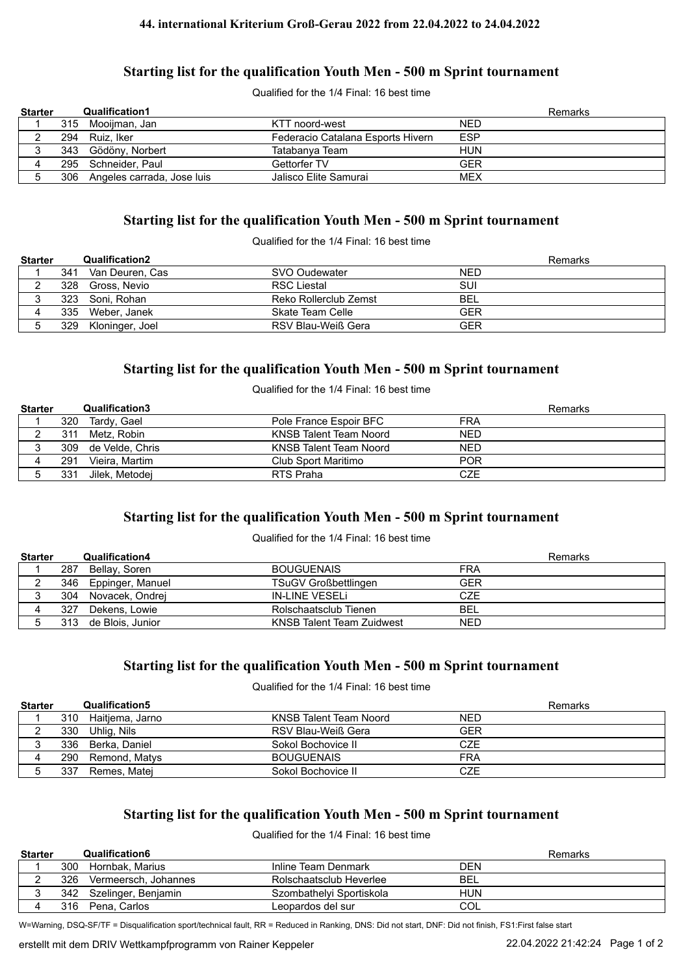## **Starting list for the qualification Youth Men - 500 m Sprint tournament**

Qualified for the 1/4 Final: 16 best time

| <b>Starter</b> | <b>Qualification1</b>          |                                   |            | <b>Remarks</b> |
|----------------|--------------------------------|-----------------------------------|------------|----------------|
|                | 315 Mooijman, Jan              | KTT noord-west                    | <b>NED</b> |                |
|                | 294 Ruiz, Iker                 | Federacio Catalana Esports Hivern | <b>ESP</b> |                |
|                | 343 Gödöny, Norbert            | Tatabanya Team                    | HUN        |                |
|                | 295 Schneider, Paul            | Gettorfer TV                      | <b>GER</b> |                |
|                | 306 Angeles carrada, Jose luis | Jalisco Elite Samurai             | <b>MEX</b> |                |

## **Starting list for the qualification Youth Men - 500 m Sprint tournament**

Qualified for the 1/4 Final: 16 best time

| <b>Starter</b> |     | <b>Qualification2</b> |                       | Remarks    |
|----------------|-----|-----------------------|-----------------------|------------|
|                | 341 | Van Deuren. Cas       | SVO Oudewater         | <b>NED</b> |
|                |     | 328 Gross, Nevio      | <b>RSC Liestal</b>    | SUI        |
|                |     | 323 Soni, Rohan       | Reko Rollerclub Zemst | BEL        |
|                | 335 | Weber. Janek          | Skate Team Celle      | GER        |
|                |     | 329 Kloninger, Joel   | RSV Blau-Weiß Gera    | GER        |

## **Starting list for the qualification Youth Men - 500 m Sprint tournament**

Qualified for the 1/4 Final: 16 best time

| <b>Starter</b> |     | <b>Qualification3</b> |                        | Remarks    |
|----------------|-----|-----------------------|------------------------|------------|
|                | 320 | Tardy, Gael           | Pole France Espoir BFC | <b>FRA</b> |
|                | 311 | Metz. Robin           | KNSB Talent Team Noord | <b>NED</b> |
|                |     | 309 de Velde, Chris   | KNSB Talent Team Noord | <b>NED</b> |
|                | 291 | Vieira. Martim        | Club Sport Maritimo    | <b>POR</b> |
|                | 331 | Jilek. Metodei        | RTS Praha              | CZE        |

# **Starting list for the qualification Youth Men - 500 m Sprint tournament**

#### Qualified for the 1/4 Final: 16 best time

| <b>Starter</b> |     | <b>Qualification4</b> |                                  | Remarks    |
|----------------|-----|-----------------------|----------------------------------|------------|
|                | 287 | Bellay, Soren         | <b>BOUGUENAIS</b>                | <b>FRA</b> |
|                |     | 346 Eppinger, Manuel  | <b>TSuGV Großbettlingen</b>      | <b>GER</b> |
|                | 304 | Novacek, Ondrej       | IN-LINE VESELI                   | <b>CZE</b> |
|                | 327 | Dekens, Lowie         | Rolschaatsclub Tienen            | <b>BEL</b> |
|                | 313 | de Blois, Junior      | <b>KNSB Talent Team Zuidwest</b> | <b>NED</b> |

## **Starting list for the qualification Youth Men - 500 m Sprint tournament**

Qualified for the 1/4 Final: 16 best time

| <b>Starter</b> |     | Qualification5    |                        | Remarks    |  |
|----------------|-----|-------------------|------------------------|------------|--|
|                | 310 | Haitjema, Jarno   | KNSB Talent Team Noord | <b>NED</b> |  |
|                | 330 | Uhlig, Nils       | RSV Blau-Weiß Gera     | GER        |  |
|                |     | 336 Berka, Daniel | Sokol Bochovice II     | CZE        |  |
|                | 290 | Remond, Matys     | <b>BOUGUENAIS</b>      | FRA        |  |
|                | 337 | Remes, Matej      | Sokol Bochovice II     | <b>CZE</b> |  |

## **Starting list for the qualification Youth Men - 500 m Sprint tournament**

Qualified for the 1/4 Final: 16 best time

| <b>Starter</b> |     | Qualification6          |                          | Remarks    |
|----------------|-----|-------------------------|--------------------------|------------|
|                | 300 | Hornbak. Marius         | Inline Team Denmark      | DEN        |
|                | 326 | Vermeersch, Johannes    | Rolschaatsclub Heverlee  | <b>BEL</b> |
|                |     | 342 Szelinger, Benjamin | Szombathelvi Sportiskola | HUN        |
|                | 316 | Pena, Carlos            | Leopardos del sur        | COL        |

W=Warning, DSQ-SF/TF = Disqualification sport/technical fault, RR = Reduced in Ranking, DNS: Did not start, DNF: Did not finish, FS1:First false start

erstellt mit dem DRIV Wettkampfprogramm von Rainer Keppeler 22.04.2022 21:42:24 Page 1 of 2